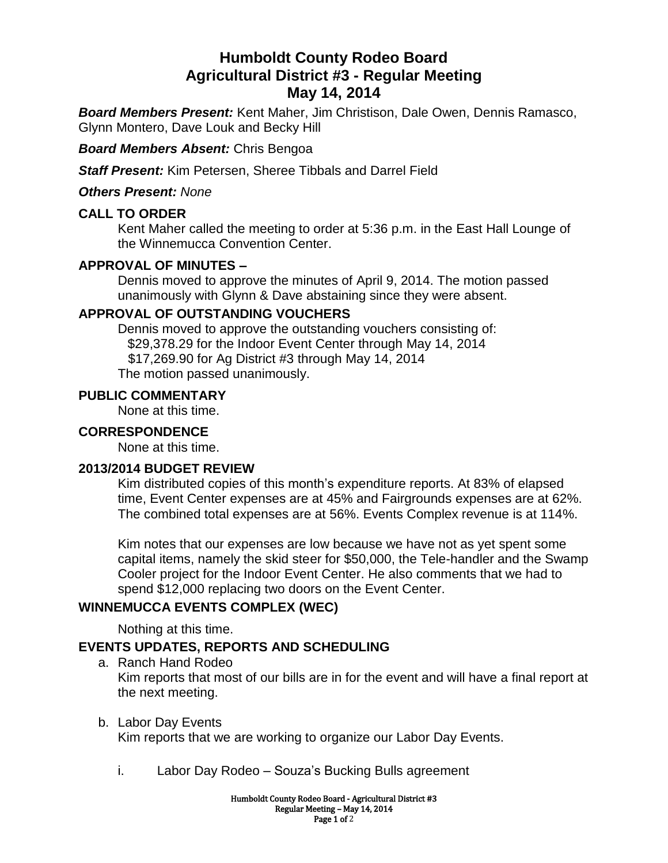# **Humboldt County Rodeo Board Agricultural District #3 - Regular Meeting May 14, 2014**

*Board Members Present:* Kent Maher, Jim Christison, Dale Owen, Dennis Ramasco, Glynn Montero, Dave Louk and Becky Hill

*Board Members Absent:* Chris Bengoa

*Staff Present:* Kim Petersen, Sheree Tibbals and Darrel Field

*Others Present: None*

# **CALL TO ORDER**

Kent Maher called the meeting to order at 5:36 p.m. in the East Hall Lounge of the Winnemucca Convention Center.

# **APPROVAL OF MINUTES –**

Dennis moved to approve the minutes of April 9, 2014. The motion passed unanimously with Glynn & Dave abstaining since they were absent.

# **APPROVAL OF OUTSTANDING VOUCHERS**

Dennis moved to approve the outstanding vouchers consisting of: \$29,378.29 for the Indoor Event Center through May 14, 2014 \$17,269.90 for Ag District #3 through May 14, 2014 The motion passed unanimously.

#### **PUBLIC COMMENTARY**

None at this time.

### **CORRESPONDENCE**

None at this time.

### **2013/2014 BUDGET REVIEW**

Kim distributed copies of this month's expenditure reports. At 83% of elapsed time, Event Center expenses are at 45% and Fairgrounds expenses are at 62%. The combined total expenses are at 56%. Events Complex revenue is at 114%.

Kim notes that our expenses are low because we have not as yet spent some capital items, namely the skid steer for \$50,000, the Tele-handler and the Swamp Cooler project for the Indoor Event Center. He also comments that we had to spend \$12,000 replacing two doors on the Event Center.

# **WINNEMUCCA EVENTS COMPLEX (WEC)**

Nothing at this time.

# **EVENTS UPDATES, REPORTS AND SCHEDULING**

- a. Ranch Hand Rodeo Kim reports that most of our bills are in for the event and will have a final report at the next meeting.
- b. Labor Day Events Kim reports that we are working to organize our Labor Day Events.
	- i. Labor Day Rodeo Souza's Bucking Bulls agreement